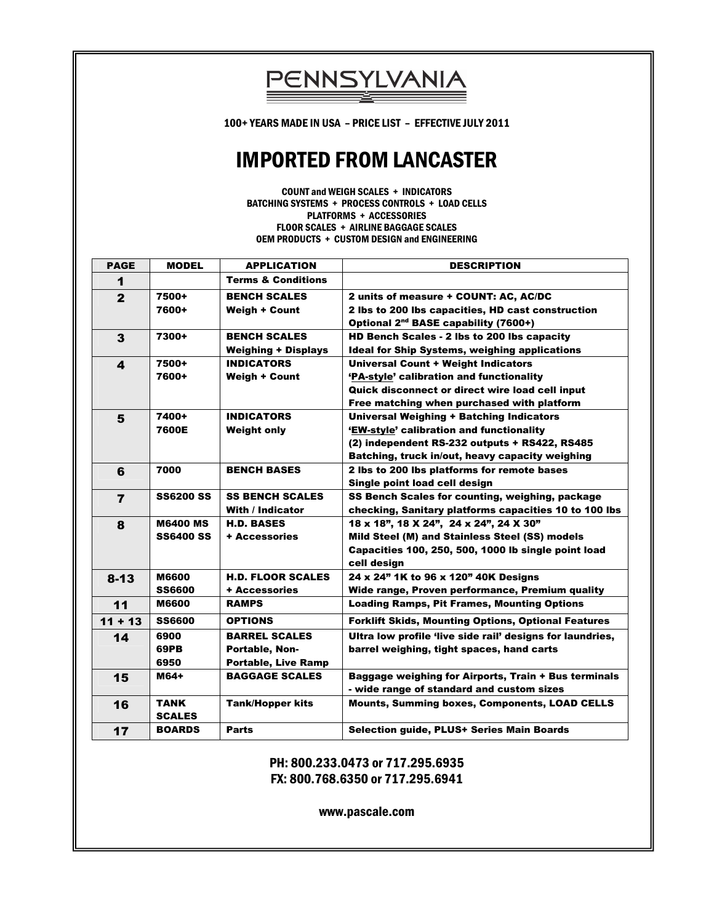100+ YEARS MADE IN USA – PRICE LIST – EFFECTIVE JULY 2011

PENNSYLVANIA

# IMPORTED FROM LANCASTER

COUNT and WEIGH SCALES + INDICATORS BATCHING SYSTEMS + PROCESS CONTROLS + LOAD CELLS PLATFORMS + ACCESSORIES FLOOR SCALES + AIRLINE BAGGAGE SCALES OEM PRODUCTS + CUSTOM DESIGN and ENGINEERING

| <b>PAGE</b>    | <b>MODEL</b>     | <b>APPLICATION</b>            | <b>DESCRIPTION</b>                                         |
|----------------|------------------|-------------------------------|------------------------------------------------------------|
| 1              |                  | <b>Terms &amp; Conditions</b> |                                                            |
| $\mathbf{2}$   | 7500+            | <b>BENCH SCALES</b>           | 2 units of measure + COUNT: AC, AC/DC                      |
|                | 7600+            | <b>Weigh + Count</b>          | 2 lbs to 200 lbs capacities, HD cast construction          |
|                |                  |                               | Optional 2 <sup>nd</sup> BASE capability (7600+)           |
| 3              | 7300+            | <b>BENCH SCALES</b>           | HD Bench Scales - 2 lbs to 200 lbs capacity                |
|                |                  | <b>Weighing + Displays</b>    | <b>Ideal for Ship Systems, weighing applications</b>       |
| 4              | 7500+            | <b>INDICATORS</b>             | Universal Count + Weight Indicators                        |
|                | 7600+            | <b>Weigh + Count</b>          | 'PA-style' calibration and functionality                   |
|                |                  |                               | Quick disconnect or direct wire load cell input            |
|                |                  |                               | Free matching when purchased with platform                 |
| 5              | 7400+            | <b>INDICATORS</b>             | <b>Universal Weighing + Batching Indicators</b>            |
|                | 7600E            | <b>Weight only</b>            | 'EW-style' calibration and functionality                   |
|                |                  |                               | (2) independent RS-232 outputs + RS422, RS485              |
|                |                  |                               | Batching, truck in/out, heavy capacity weighing            |
| 6              | 7000             | <b>BENCH BASES</b>            | 2 lbs to 200 lbs platforms for remote bases                |
|                |                  |                               | Single point load cell design                              |
| $\overline{7}$ | <b>SS6200 SS</b> | <b>SS BENCH SCALES</b>        | SS Bench Scales for counting, weighing, package            |
|                |                  | <b>With / Indicator</b>       | checking, Sanitary platforms capacities 10 to 100 lbs      |
| 8              | <b>M6400 MS</b>  | <b>H.D. BASES</b>             | 18 x 18", 18 X 24", 24 x 24", 24 X 30"                     |
|                | <b>SS6400 SS</b> | + Accessories                 | Mild Steel (M) and Stainless Steel (SS) models             |
|                |                  |                               | Capacities 100, 250, 500, 1000 lb single point load        |
|                |                  |                               | cell design                                                |
| $8 - 13$       | <b>M6600</b>     | <b>H.D. FLOOR SCALES</b>      | 24 x 24" 1K to 96 x 120" 40K Designs                       |
|                | <b>SS6600</b>    | + Accessories                 | Wide range, Proven performance, Premium quality            |
| 11             | <b>M6600</b>     | <b>RAMPS</b>                  | <b>Loading Ramps, Pit Frames, Mounting Options</b>         |
| $11 + 13$      | <b>SS6600</b>    | <b>OPTIONS</b>                | <b>Forklift Skids, Mounting Options, Optional Features</b> |
| 14             | 6900             | <b>BARREL SCALES</b>          | Ultra low profile 'live side rail' designs for laundries,  |
|                | <b>69PB</b>      | <b>Portable, Non-</b>         | barrel weighing, tight spaces, hand carts                  |
|                | 6950             | <b>Portable, Live Ramp</b>    |                                                            |
| 15             | M64+             | <b>BAGGAGE SCALES</b>         | Baggage weighing for Airports, Train + Bus terminals       |
|                |                  |                               | - wide range of standard and custom sizes                  |
| 16             | <b>TANK</b>      | <b>Tank/Hopper kits</b>       | <b>Mounts, Summing boxes, Components, LOAD CELLS</b>       |
|                | <b>SCALES</b>    |                               |                                                            |
| 17             | <b>BOARDS</b>    | <b>Parts</b>                  | Selection guide, PLUS+ Series Main Boards                  |

PH: 800.233.0473 or 717.295.6935 FX: 800.768.6350 or 717.295.6941

www.pascale.com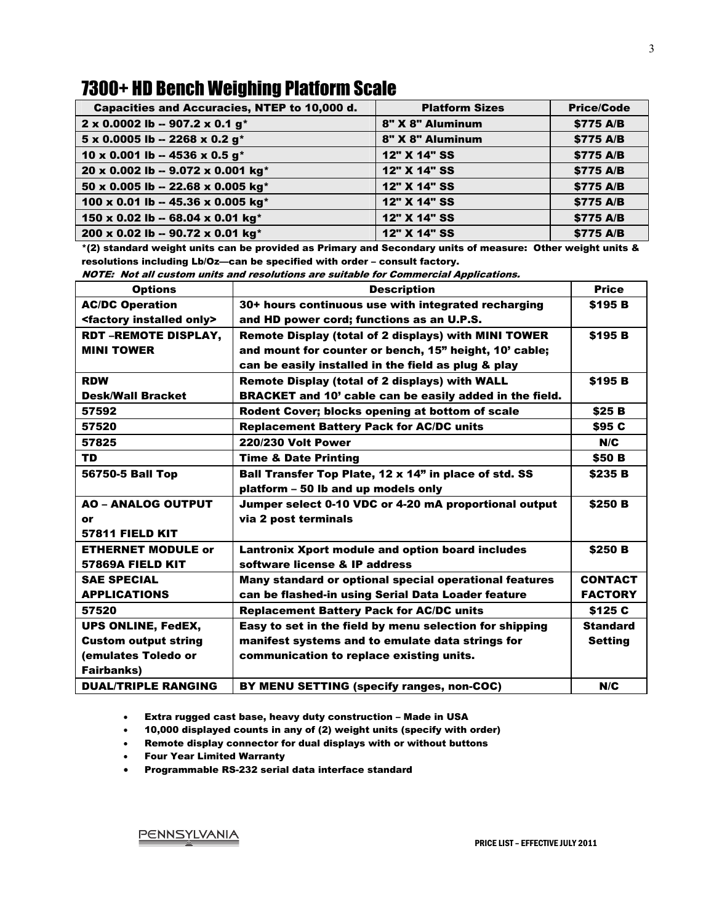#### 7300+ HD Bench Weighing Platform Scale

| Capacities and Accuracies, NTEP to 10,000 d.      | <b>Platform Sizes</b> | <b>Price/Code</b> |
|---------------------------------------------------|-----------------------|-------------------|
| 2 x 0.0002 lb - 907.2 x 0.1 g*                    | 8" X 8" Aluminum      | \$775 A/B         |
| $5 \times 0.0005$ lb -- 2268 x 0.2 g <sup>*</sup> | 8" X 8" Aluminum      | \$775 A/B         |
| 10 x 0.001 lb -- 4536 x 0.5 g*                    | 12" X 14" SS          | \$775 A/B         |
| 20 x 0.002 lb -- 9.072 x 0.001 kg*                | 12" X 14" SS          | \$775 A/B         |
| 50 x 0.005 lb -- 22.68 x 0.005 kg*                | 12" X 14" SS          | \$775 A/B         |
| 100 x 0.01 lb -- 45.36 x 0.005 kg*                | 12" X 14" SS          | \$775 A/B         |
| 150 x 0.02 lb -- 68.04 x 0.01 kg*                 | 12" X 14" SS          | \$775 A/B         |
| 200 x 0.02 lb -- 90.72 x 0.01 kg*                 | 12" X 14" SS          | \$775 A/B         |

\*(2) standard weight units can be provided as Primary and Secondary units of measure: Other weight units & resolutions including Lb/Oz—can be specified with order – consult factory.

NOTE: Not all custom units and resolutions are suitable for Commercial Applications.

| <b>Options</b>                           | <b>Description</b>                                      | <b>Price</b>    |
|------------------------------------------|---------------------------------------------------------|-----------------|
| <b>AC/DC Operation</b>                   | 30+ hours continuous use with integrated recharging     | \$195 B         |
| <factory installed="" only=""></factory> | and HD power cord; functions as an U.P.S.               |                 |
| <b>RDT-REMOTE DISPLAY,</b>               | Remote Display (total of 2 displays) with MINI TOWER    | \$195 B         |
| <b>MINI TOWER</b>                        | and mount for counter or bench, 15" height, 10' cable;  |                 |
|                                          | can be easily installed in the field as plug & play     |                 |
| <b>RDW</b>                               | <b>Remote Display (total of 2 displays) with WALL</b>   | \$195 B         |
| <b>Desk/Wall Bracket</b>                 | BRACKET and 10' cable can be easily added in the field. |                 |
| 57592                                    | Rodent Cover; blocks opening at bottom of scale         | \$25B           |
| 57520                                    | <b>Replacement Battery Pack for AC/DC units</b>         | \$95 C          |
| 57825                                    | <b>220/230 Volt Power</b>                               | N/C             |
| <b>TD</b>                                | <b>Time &amp; Date Printing</b>                         | \$50 B          |
| 56750-5 Ball Top                         | Ball Transfer Top Plate, 12 x 14" in place of std. SS   | \$235 B         |
|                                          | platform - 50 lb and up models only                     |                 |
| <b>AO - ANALOG OUTPUT</b>                | Jumper select 0-10 VDC or 4-20 mA proportional output   | \$250 B         |
| or                                       | via 2 post terminals                                    |                 |
| 57811 FIELD KIT                          |                                                         |                 |
| <b>ETHERNET MODULE or</b>                | <b>Lantronix Xport module and option board includes</b> | \$250 B         |
| 57869A FIELD KIT                         | software license & IP address                           |                 |
| <b>SAE SPECIAL</b>                       | Many standard or optional special operational features  | <b>CONTACT</b>  |
| <b>APPLICATIONS</b>                      | can be flashed-in using Serial Data Loader feature      | <b>FACTORY</b>  |
| 57520                                    | <b>Replacement Battery Pack for AC/DC units</b>         | \$125 C         |
| <b>UPS ONLINE, FedEX,</b>                | Easy to set in the field by menu selection for shipping | <b>Standard</b> |
| <b>Custom output string</b>              | manifest systems and to emulate data strings for        | <b>Setting</b>  |
| (emulates Toledo or                      | communication to replace existing units.                |                 |
| <b>Fairbanks)</b>                        |                                                         |                 |
| <b>DUAL/TRIPLE RANGING</b>               | BY MENU SETTING (specify ranges, non-COC)               | N/C             |

• Extra rugged cast base, heavy duty construction – Made in USA

- 10,000 displayed counts in any of (2) weight units (specify with order)
- Remote display connector for dual displays with or without buttons
- Four Year Limited Warranty
- Programmable RS-232 serial data interface standard

3

PENNSYLVANIA<br>PRICE LIST – EFFECTIVE JULY 2011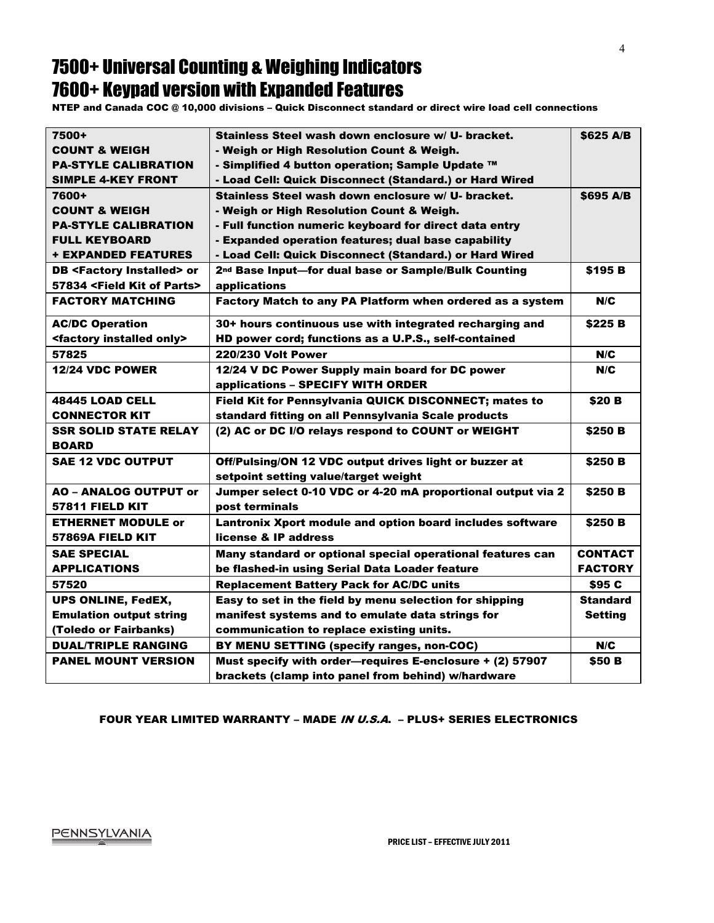#### 7500+ Universal Counting & Weighing Indicators 7600+ Keypad version with Expanded Features

NTEP and Canada COC @ 10,000 divisions – Quick Disconnect standard or direct wire load cell connections

| Stainless Steel wash down enclosure w/ U- bracket.               | \$625 A/B      |
|------------------------------------------------------------------|----------------|
| - Weigh or High Resolution Count & Weigh.                        |                |
| - Simplified 4 button operation; Sample Update ™                 |                |
| - Load Cell: Quick Disconnect (Standard.) or Hard Wired          |                |
| Stainless Steel wash down enclosure w/ U- bracket.               | \$695 A/B      |
| - Weigh or High Resolution Count & Weigh.                        |                |
| - Full function numeric keyboard for direct data entry           |                |
| - Expanded operation features; dual base capability              |                |
| - Load Cell: Quick Disconnect (Standard.) or Hard Wired          |                |
| 2 <sup>nd</sup> Base Input-for dual base or Sample/Bulk Counting | \$195 B        |
| applications                                                     |                |
| Factory Match to any PA Platform when ordered as a system        | N/C            |
| 30+ hours continuous use with integrated recharging and          | \$225B         |
| HD power cord; functions as a U.P.S., self-contained             |                |
| <b>220/230 Volt Power</b>                                        | N/C            |
| 12/24 V DC Power Supply main board for DC power                  | N/C            |
| applications - SPECIFY WITH ORDER                                |                |
| Field Kit for Pennsylvania QUICK DISCONNECT; mates to            | \$20 B         |
| standard fitting on all Pennsylvania Scale products              |                |
| (2) AC or DC I/O relays respond to COUNT or WEIGHT               | \$250 B        |
|                                                                  |                |
| Off/Pulsing/ON 12 VDC output drives light or buzzer at           | \$250 B        |
| setpoint setting value/target weight                             |                |
| Jumper select 0-10 VDC or 4-20 mA proportional output via 2      | <b>\$250 B</b> |
| post terminals                                                   |                |
| Lantronix Xport module and option board includes software        | \$250 B        |
| license & IP address                                             |                |
| Many standard or optional special operational features can       | <b>CONTACT</b> |
| be flashed-in using Serial Data Loader feature                   | <b>FACTORY</b> |
| <b>Replacement Battery Pack for AC/DC units</b>                  | <b>S95 C</b>   |
| Easy to set in the field by menu selection for shipping          | Standard       |
| manifest systems and to emulate data strings for                 | <b>Setting</b> |
| communication to replace existing units.                         |                |
| BY MENU SETTING (specify ranges, non-COC)                        | N/C            |
| Must specify with order-requires E-enclosure + (2) 57907         | \$50 B         |
| brackets (clamp into panel from behind) w/hardware               |                |
|                                                                  |                |

#### FOUR YEAR LIMITED WARRANTY – MADE IN U.S.A. – PLUS+ SERIES ELECTRONICS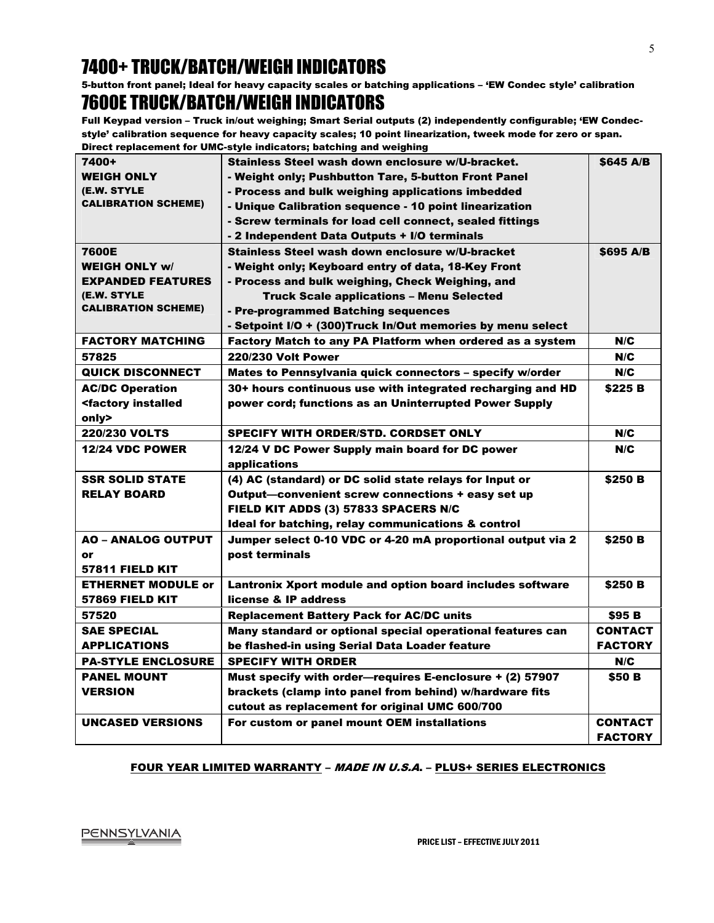# 7400+ TRUCK/BATCH/WEIGH INDICATORS

5-button front panel; Ideal for heavy capacity scales or batching applications – 'EW Condec style' calibration

# 7600E TRUCK/BATCH/WEIGH INDICATORS

Full Keypad version – Truck in/out weighing; Smart Serial outputs (2) independently configurable; 'EW Condecstyle' calibration sequence for heavy capacity scales; 10 point linearization, tweek mode for zero or span. Direct replacement for UMC-style indicators; batching and weighing

| 7400+                                                                                                           | Stainless Steel wash down enclosure w/U-bracket.            | \$645 A/B      |
|-----------------------------------------------------------------------------------------------------------------|-------------------------------------------------------------|----------------|
| <b>WEIGH ONLY</b>                                                                                               | - Weight only: Pushbutton Tare. 5-button Front Panel        |                |
| (E.W. STYLE                                                                                                     | - Process and bulk weighing applications imbedded           |                |
| <b>CALIBRATION SCHEME)</b>                                                                                      | - Unique Calibration sequence - 10 point linearization      |                |
|                                                                                                                 | - Screw terminals for load cell connect, sealed fittings    |                |
|                                                                                                                 | - 2 Independent Data Outputs + I/O terminals                |                |
| 7600E                                                                                                           | Stainless Steel wash down enclosure w/U-bracket             | \$695 A/B      |
| <b>WEIGH ONLY w/</b>                                                                                            |                                                             |                |
|                                                                                                                 | - Weight only; Keyboard entry of data, 18-Key Front         |                |
| <b>EXPANDED FEATURES</b>                                                                                        | - Process and bulk weighing, Check Weighing, and            |                |
| (E.W. STYLE<br><b>CALIBRATION SCHEME)</b>                                                                       | <b>Truck Scale applications - Menu Selected</b>             |                |
|                                                                                                                 | - Pre-programmed Batching sequences                         |                |
|                                                                                                                 | - Setpoint I/O + (300)Truck In/Out memories by menu select  |                |
| <b>FACTORY MATCHING</b>                                                                                         | Factory Match to any PA Platform when ordered as a system   | N/C            |
| 57825                                                                                                           | <b>220/230 Volt Power</b>                                   | N/C            |
| <b>QUICK DISCONNECT</b>                                                                                         | Mates to Pennsylvania quick connectors - specify w/order    | N/C            |
| <b>AC/DC Operation</b>                                                                                          | 30+ hours continuous use with integrated recharging and HD  | \$225 B        |
| <factory installed<="" td=""><td>power cord; functions as an Uninterrupted Power Supply</td><td></td></factory> | power cord; functions as an Uninterrupted Power Supply      |                |
| only>                                                                                                           |                                                             |                |
| <b>220/230 VOLTS</b>                                                                                            | <b>SPECIFY WITH ORDER/STD. CORDSET ONLY</b>                 | N/C            |
| <b>12/24 VDC POWER</b>                                                                                          | 12/24 V DC Power Supply main board for DC power             | N/C            |
|                                                                                                                 | applications                                                |                |
| <b>SSR SOLID STATE</b>                                                                                          | (4) AC (standard) or DC solid state relays for Input or     | \$250 B        |
| <b>RELAY BOARD</b>                                                                                              | Output—convenient screw connections + easy set up           |                |
|                                                                                                                 | FIELD KIT ADDS (3) 57833 SPACERS N/C                        |                |
|                                                                                                                 | Ideal for batching, relay communications & control          |                |
| <b>AO - ANALOG OUTPUT</b>                                                                                       | Jumper select 0-10 VDC or 4-20 mA proportional output via 2 | \$250 B        |
| or                                                                                                              | post terminals                                              |                |
| 57811 FIELD KIT                                                                                                 |                                                             |                |
| <b>ETHERNET MODULE or</b>                                                                                       | Lantronix Xport module and option board includes software   | \$250 B        |
| <b>57869 FIELD KIT</b>                                                                                          | license & IP address                                        |                |
| 57520                                                                                                           | <b>Replacement Battery Pack for AC/DC units</b>             | <b>\$95 B</b>  |
| <b>SAE SPECIAL</b>                                                                                              | Many standard or optional special operational features can  | <b>CONTACT</b> |
| <b>APPLICATIONS</b>                                                                                             | be flashed-in using Serial Data Loader feature              | <b>FACTORY</b> |
| <b>PA-STYLE ENCLOSURE</b>                                                                                       | <b>SPECIFY WITH ORDER</b>                                   | N/C            |
| <b>PANEL MOUNT</b>                                                                                              | Must specify with order-requires E-enclosure + (2) 57907    | <b>\$50 B</b>  |
| <b>VERSION</b>                                                                                                  | brackets (clamp into panel from behind) w/hardware fits     |                |
|                                                                                                                 | cutout as replacement for original UMC 600/700              |                |
| <b>UNCASED VERSIONS</b>                                                                                         | For custom or panel mount OEM installations                 | <b>CONTACT</b> |
|                                                                                                                 |                                                             | <b>FACTORY</b> |

#### FOUR YEAR LIMITED WARRANTY – MADE IN U.S.A. – PLUS+ SERIES ELECTRONICS

PENNSYLVANIA<br>PRICE LIST – EFFECTIVE JULY 2011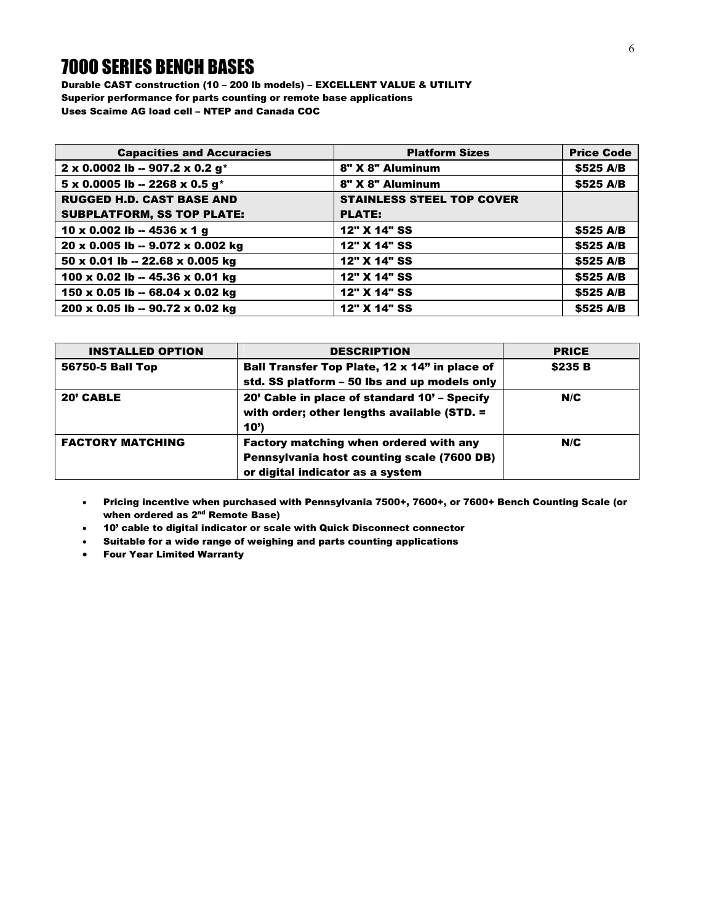#### 7000 SERIES BENCH BASES

Durable CAST construction (10 – 200 lb models) – EXCELLENT VALUE & UTILITY Superior performance for parts counting or remote base applications Uses Scaime AG load cell – NTEP and Canada COC

| <b>Capacities and Accuracies</b>                  | <b>Platform Sizes</b>            | <b>Price Code</b> |
|---------------------------------------------------|----------------------------------|-------------------|
| 2 x 0.0002 lb -- 907.2 x 0.2 g*                   | 8" X 8" Aluminum                 | \$525 A/B         |
| $5 \times 0.0005$ lb -- 2268 x 0.5 g <sup>*</sup> | 8" X 8" Aluminum                 | \$525 A/B         |
| <b>RUGGED H.D. CAST BASE AND</b>                  | <b>STAINLESS STEEL TOP COVER</b> |                   |
| <b>SUBPLATFORM, SS TOP PLATE:</b>                 | <b>PLATE:</b>                    |                   |
| 10 x 0.002 lb -- 4536 x 1 g                       | 12" X 14" SS                     | \$525 A/B         |
| 20 x 0.005 lb -- 9.072 x 0.002 kg                 | 12" X 14" SS                     | \$525 A/B         |
| $50 \times 0.01$ lb -- 22.68 x 0.005 kg           | 12" X 14" SS                     | \$525 A/B         |
| 100 x 0.02 lb -- 45.36 x 0.01 kg                  | 12" X 14" SS                     | \$525 A/B         |
| 150 x 0.05 lb -- 68.04 x 0.02 kg                  | 12" X 14" SS                     | \$525 A/B         |
| 200 x 0.05 lb -- 90.72 x 0.02 kg                  | 12" X 14" SS                     | \$525 A/B         |

| <b>INSTALLED OPTION</b> | <b>DESCRIPTION</b>                                                                                                       | <b>PRICE</b> |
|-------------------------|--------------------------------------------------------------------------------------------------------------------------|--------------|
| 56750-5 Ball Top        | Ball Transfer Top Plate, 12 x 14" in place of                                                                            | \$235 B      |
|                         | std. SS platform - 50 lbs and up models only                                                                             |              |
| 20' CABLE               | 20' Cable in place of standard 10' – Specify<br>with order; other lengths available (STD. =<br>10')                      | N/C          |
| <b>FACTORY MATCHING</b> | Factory matching when ordered with any<br>Pennsylvania host counting scale (7600 DB)<br>or digital indicator as a system | N/C          |

- Pricing incentive when purchased with Pennsylvania 7500+, 7600+, or 7600+ Bench Counting Scale (or when ordered as 2<sup>nd</sup> Remote Base)
- 10' cable to digital indicator or scale with Quick Disconnect connector
- Suitable for a wide range of weighing and parts counting applications
- Four Year Limited Warranty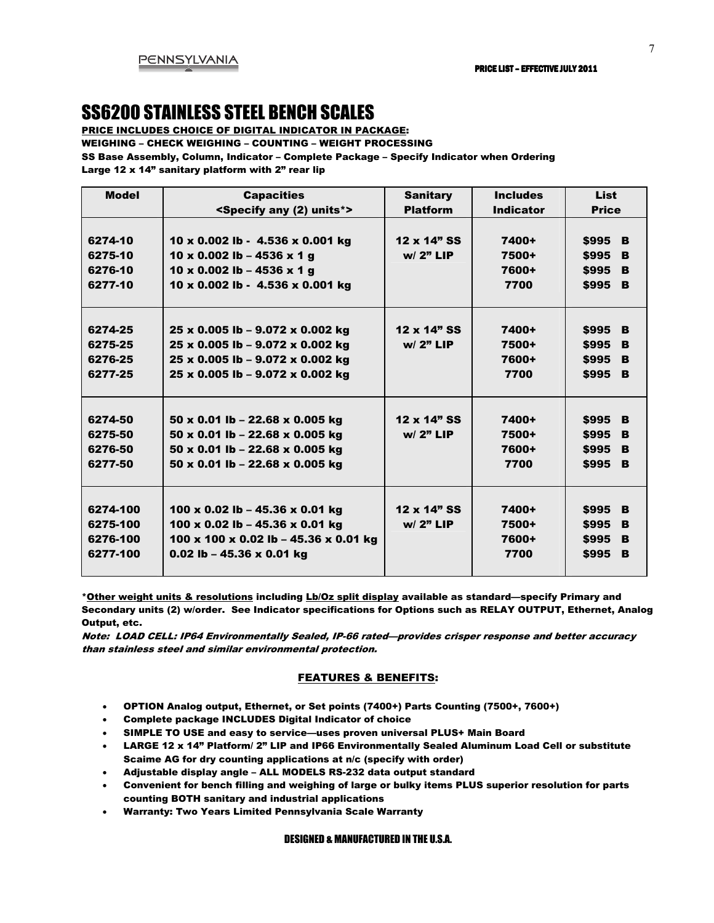#### SS6200 STAINLESS STEEL BENCH SCALES

PRICE INCLUDES CHOICE OF DIGITAL INDICATOR IN PACKAGE:

WEIGHING – CHECK WEIGHING – COUNTING – WEIGHT PROCESSING

SS Base Assembly, Column, Indicator – Complete Package – Specify Indicator when Ordering

Large 12 x 14" sanitary platform with 2" rear lip

| <b>Model</b> | <b>Capacities</b>                           | <b>Sanitary</b> | <b>Includes</b>  | <b>List</b>  |
|--------------|---------------------------------------------|-----------------|------------------|--------------|
|              | <specify (2)="" any="" units*=""></specify> | <b>Platform</b> | <b>Indicator</b> | <b>Price</b> |
|              |                                             |                 |                  |              |
| 6274-10      | 10 x 0.002 lb - 4.536 x 0.001 kg            | 12 x 14" SS     | 7400+            | \$995<br>B   |
| 6275-10      | 10 x 0.002 lb - 4536 x 1 g                  | $w/2"$ LIP      | 7500+            | \$995<br>B   |
| 6276-10      | 10 x 0.002 lb - 4536 x 1 g                  |                 | 7600+            | \$995<br>B   |
| 6277-10      | 10 x 0.002 lb - 4.536 x 0.001 kg            |                 | 7700             | \$995<br>B   |
|              |                                             |                 |                  |              |
|              |                                             |                 |                  |              |
| 6274-25      | 25 x 0.005 lb - 9.072 x 0.002 kg            | 12 x 14" SS     | 7400+            | \$995<br>B   |
| 6275-25      | 25 x 0.005 lb - 9.072 x 0.002 kg            | $w/2"$ LIP      | 7500+            | \$995<br>B   |
| 6276-25      | 25 x 0.005 lb - 9.072 x 0.002 kg            |                 | 7600+            | \$995<br>B   |
| 6277-25      | 25 x 0.005 lb - 9.072 x 0.002 kg            |                 | 7700             | \$995<br>B   |
|              |                                             |                 |                  |              |
|              |                                             |                 |                  |              |
| 6274-50      | $50 \times 0.01$ lb - 22.68 x 0.005 kg      | 12 x 14" SS     | 7400+            | \$995<br>B   |
| 6275-50      | 50 x 0.01 lb - 22.68 x 0.005 kg             | $w/2"$ LIP      | 7500+            | \$995<br>B   |
| 6276-50      | 50 x 0.01 lb - 22.68 x 0.005 kg             |                 | 7600+            | \$995<br>B   |
| 6277-50      | 50 x 0.01 lb - 22.68 x 0.005 kg             |                 | 7700             | B<br>\$995   |
|              |                                             |                 |                  |              |
|              |                                             |                 |                  |              |
| 6274-100     | 100 x 0.02 lb - 45.36 x 0.01 kg             | 12 x 14" SS     | 7400+            | \$995<br>B   |
| 6275-100     | 100 x 0.02 lb - 45.36 x 0.01 kg             | $w/2"$ LIP      | 7500+            | \$995<br>B   |
| 6276-100     | 100 x 100 x 0.02 lb - 45.36 x 0.01 kg       |                 | 7600+            | \$995<br>B   |
| 6277-100     | 0.02 lb - 45.36 $\times$ 0.01 kg            |                 | 7700             | \$995<br>B   |
|              |                                             |                 |                  |              |

\*Other weight units & resolutions including Lb/Oz split display available as standard—specify Primary and Secondary units (2) w/order. See Indicator specifications for Options such as RELAY OUTPUT, Ethernet, Analog Output, etc.

Note: LOAD CELL: IP64 Environmentally Sealed, IP-66 rated—provides crisper response and better accuracy than stainless steel and similar environmental protection.

#### FEATURES & BENEFITS:

- OPTION Analog output, Ethernet, or Set points (7400+) Parts Counting (7500+, 7600+)
- Complete package INCLUDES Digital Indicator of choice
- SIMPLE TO USE and easy to service—uses proven universal PLUS+ Main Board
- LARGE 12 x 14" Platform/ 2" LIP and IP66 Environmentally Sealed Aluminum Load Cell or substitute Scaime AG for dry counting applications at n/c (specify with order)
- Adjustable display angle ALL MODELS RS-232 data output standard
- Convenient for bench filling and weighing of large or bulky items PLUS superior resolution for parts counting BOTH sanitary and industrial applications
- Warranty: Two Years Limited Pennsylvania Scale Warranty

#### DESIGNED & MANUFACTURED IN THE U.S.A.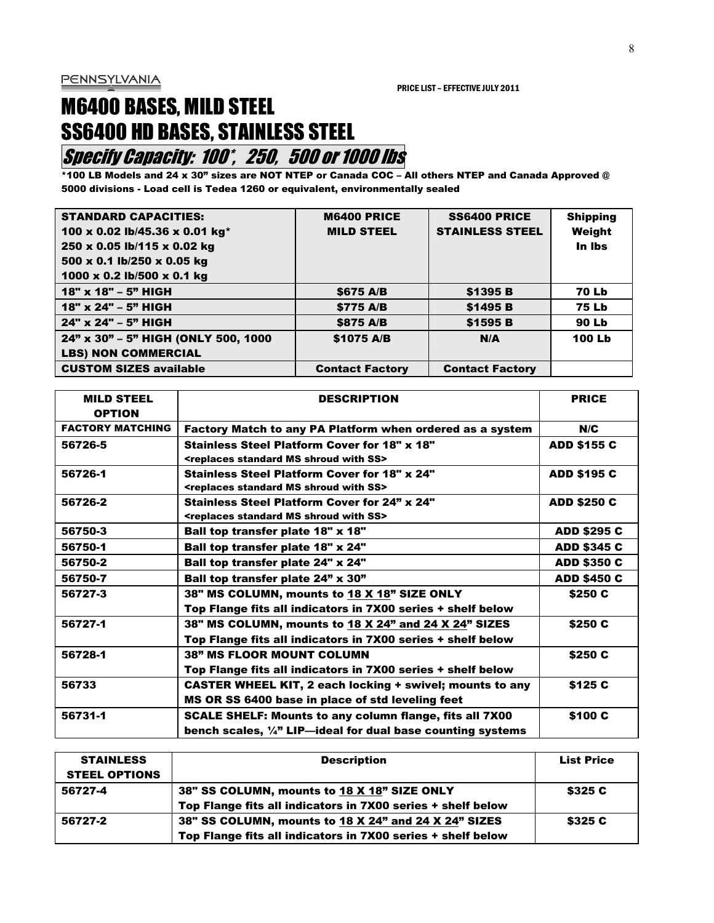# M6400 BASES, MILD STEEL SS6400 HD BASES, STAINLESS STEEL

## **Specify Capacity: 100<sup>\*</sup>, 250, 500 or 1000 lbs**

\*100 LB Models and 24 x 30" sizes are NOT NTEP or Canada COC – All others NTEP and Canada Approved @ 5000 divisions - Load cell is Tedea 1260 or equivalent, environmentally sealed

| <b>STANDARD CAPACITIES:</b><br>100 x 0.02 lb/45.36 x 0.01 kg*<br>250 x 0.05 lb/115 x 0.02 kg<br>500 x 0.1 lb/250 x 0.05 kg<br>1000 x 0.2 lb/500 x 0.1 kg | <b>M6400 PRICE</b><br><b>MILD STEEL</b> | <b>SS6400 PRICE</b><br><b>STAINLESS STEEL</b> | <b>Shipping</b><br>Weight<br>In Ibs |
|----------------------------------------------------------------------------------------------------------------------------------------------------------|-----------------------------------------|-----------------------------------------------|-------------------------------------|
| 18" x 18" - 5" HIGH                                                                                                                                      | \$675 A/B                               | \$1395 B                                      | <b>70 Lb</b>                        |
| 18" x 24" - 5" HIGH                                                                                                                                      | \$775 A/B                               | \$1495 B                                      | <b>75 Lb</b>                        |
| 24" x 24" - 5" HIGH                                                                                                                                      | \$875 A/B                               | \$1595 B                                      | <b>90 Lb</b>                        |
| 24" x 30" - 5" HIGH (ONLY 500, 1000                                                                                                                      | \$1075 A/B                              | N/A                                           | <b>100 Lb</b>                       |
| <b>LBS) NON COMMERCIAL</b>                                                                                                                               |                                         |                                               |                                     |
| <b>CUSTOM SIZES available</b>                                                                                                                            | <b>Contact Factory</b>                  | <b>Contact Factory</b>                        |                                     |

| <b>MILD STEEL</b><br><b>OPTION</b> | <b>DESCRIPTION</b>                                                                                                                       | <b>PRICE</b>       |
|------------------------------------|------------------------------------------------------------------------------------------------------------------------------------------|--------------------|
| <b>FACTORY MATCHING</b>            | Factory Match to any PA Platform when ordered as a system                                                                                | N/C                |
| 56726-5                            | <b>Stainless Steel Platform Cover for 18" x 18"</b><br><replaces ms="" shroud="" ss="" standard="" with=""></replaces>                   | <b>ADD \$155 C</b> |
| 56726-1                            | <b>Stainless Steel Platform Cover for 18" x 24"</b><br><replaces ms="" shroud="" ss="" standard="" with=""></replaces>                   | <b>ADD \$195 C</b> |
| 56726-2                            | <b>Stainless Steel Platform Cover for 24" x 24"</b><br><replaces ms="" shroud="" ss="" standard="" with=""></replaces>                   | <b>ADD \$250 C</b> |
| 56750-3                            | Ball top transfer plate 18" x 18"                                                                                                        | <b>ADD \$295 C</b> |
| 56750-1                            | Ball top transfer plate 18" x 24"                                                                                                        | <b>ADD \$345 C</b> |
| 56750-2                            | Ball top transfer plate 24" x 24"                                                                                                        | <b>ADD \$350 C</b> |
| 56750-7                            | Ball top transfer plate 24" x 30"                                                                                                        | <b>ADD \$450 C</b> |
| 56727-3                            | 38" MS COLUMN, mounts to 18 X 18" SIZE ONLY<br>Top Flange fits all indicators in 7X00 series + shelf below                               | \$250 C            |
| 56727-1                            | 38" MS COLUMN, mounts to 18 X 24" and 24 X 24" SIZES<br>Top Flange fits all indicators in 7X00 series + shelf below                      | \$250 C            |
| 56728-1                            | <b>38" MS FLOOR MOUNT COLUMN</b><br>Top Flange fits all indicators in 7X00 series + shelf below                                          | \$250 C            |
| 56733                              | CASTER WHEEL KIT, 2 each locking + swivel; mounts to any<br>MS OR SS 6400 base in place of std leveling feet                             | \$125 C            |
| 56731-1                            | <b>SCALE SHELF: Mounts to any column flange, fits all 7X00</b><br>bench scales, $\frac{1}{4}$ " LIP—ideal for dual base counting systems | \$100 C            |

| <b>STAINLESS</b>     | <b>Description</b>                                          | <b>List Price</b> |
|----------------------|-------------------------------------------------------------|-------------------|
| <b>STEEL OPTIONS</b> |                                                             |                   |
| 56727-4              | 38" SS COLUMN, mounts to 18 X 18" SIZE ONLY                 | \$325 C           |
|                      | Top Flange fits all indicators in 7X00 series + shelf below |                   |
| 56727-2              | 38" SS COLUMN, mounts to 18 X 24" and 24 X 24" SIZES        | \$325 C           |
|                      | Top Flange fits all indicators in 7X00 series + shelf below |                   |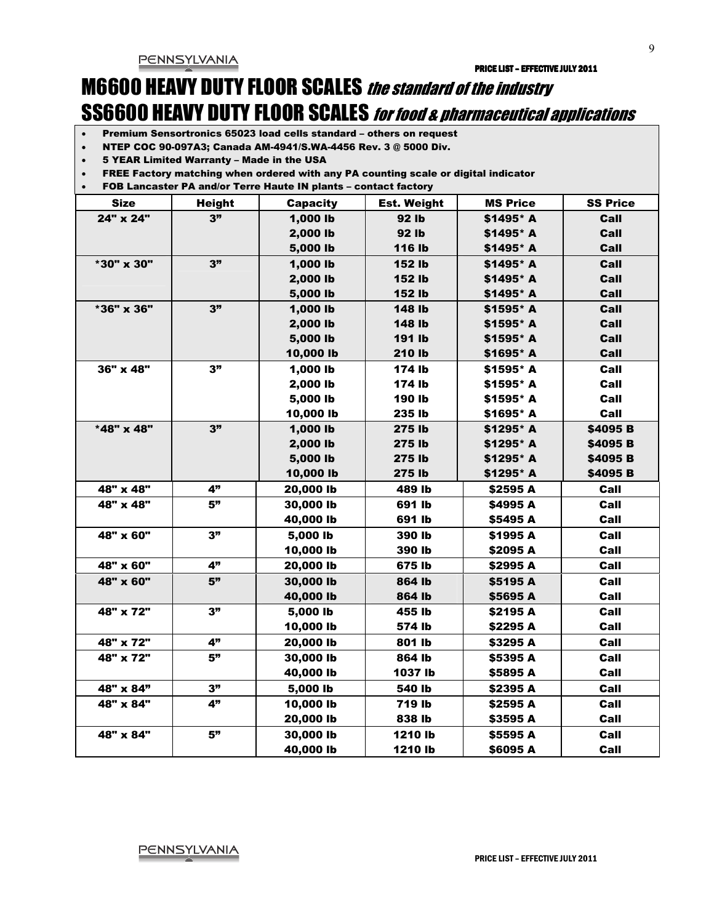# M6600 HEAVY DUTY FLOOR SCALES the standard of the industry SS6600 HEAVY DUTY FLOOR SCALES for food & pharmaceutical applications

- Premium Sensortronics 65023 load cells standard others on request
- NTEP COC 90-097A3; Canada AM-4941/S.WA-4456 Rev. 3 @ 5000 Div.
- 5 YEAR Limited Warranty Made in the USA
- FREE Factory matching when ordered with any PA counting scale or digital indicator
- FOB Lancaster PA and/or Terre Haute IN plants contact factory

| <b>Size</b>      | <b>Height</b> | <b>Capacity</b> | <b>Est. Weight</b> | <b>MS Price</b> | <b>SS Price</b> |
|------------------|---------------|-----------------|--------------------|-----------------|-----------------|
| 24" x 24"        | 3"            | 1,000 lb        | 92 lb              | \$1495* A       | Call            |
|                  |               | 2,000 lb        | 92 lb              | \$1495* A       | Call            |
|                  |               | 5,000 lb        | <b>116 lb</b>      | \$1495* A       | Call            |
| *30" x 30"       | 3"            | 1,000 lb        | <b>152 lb</b>      | \$1495* A       | Call            |
|                  |               | 2,000 lb        | 152 lb             | \$1495* A       | Call            |
|                  |               | 5,000 lb        | 152 lb             | \$1495* A       | Call            |
| *36" x 36"       | 3"            | 1,000 lb        | <b>148 lb</b>      | \$1595* A       | Call            |
|                  |               | 2,000 lb        | 148 lb             | \$1595* A       | Call            |
|                  |               | 5,000 lb        | 191 lb             | \$1595* A       | Call            |
|                  |               | 10,000 lb       | 210 lb             | \$1695* A       | Call            |
| $36" \times 48"$ | 3"            | 1,000 lb        | 174 lb             | \$1595* A       | Call            |
|                  |               | 2,000 lb        | 174 lb             | \$1595* A       | Call            |
|                  |               | 5,000 lb        | 190 lb             | \$1595* A       | Call            |
|                  |               | 10,000 lb       | 235 lb             | \$1695* A       | Call            |
| *48" x 48"       | 3"            | 1,000 lb        | 275 lb             | \$1295* A       | \$4095 B        |
|                  |               | 2,000 lb        | 275 lb             | \$1295* A       | \$4095 B        |
|                  |               | 5,000 lb        | 275 lb             | \$1295* A       | \$4095 B        |
|                  |               | 10,000 lb       | 275 lb             | \$1295* A       | \$4095 B        |
| 48" x 48"        | 4"            | 20,000 lb       | 489 lb             | \$2595 A        | Call            |
| 48" x 48"        | 5"            | 30,000 lb       | 691 lb             | \$4995 A        | Call            |
|                  |               | 40,000 lb       | 691 lb             | \$5495 A        | Call            |
| 48" x 60"        | 3"            | 5,000 lb        | 390 lb             | \$1995 A        | Call            |
|                  |               | 10,000 lb       | 390 lb             | \$2095 A        | Call            |
| 48" x 60"        | 4"            | 20,000 lb       | 675 lb             | \$2995 A        | Call            |
| 48" x 60"        | 5"            | 30,000 lb       | 864 lb             | \$5195 A        | Call            |
|                  |               | 40,000 lb       | 864 lb             | \$5695 A        | Call            |
| 48" x 72"        | 3"            | 5,000 lb        | 455 lb             | \$2195 A        | Call            |
|                  |               | 10,000 lb       | 574 lb             | \$2295 A        | Call            |
| 48" x 72"        | 4"            | 20,000 lb       | 801 lb             | \$3295 A        | Call            |
| 48" x 72"        | 5"            | 30,000 lb       | 864 lb             | \$5395 A        | Call            |
|                  |               | 40,000 lb       | 1037 lb            | \$5895 A        | Call            |
| 48" x 84"        | 3"            | 5,000 lb        | 540 lb             | \$2395 A        | Call            |
| 48" x 84"        | 4"            | 10,000 lb       | 719 lb             | \$2595 A        | Call            |
|                  |               | 20,000 lb       | 838 lb             | \$3595 A        | Call            |
| 48" x 84"        | 5"            | 30,000 lb       | 1210 lb            | \$5595 A        | Call            |
|                  |               | 40,000 lb       | 1210 lb            | \$6095 A        | Call            |

 $\overline{Q}$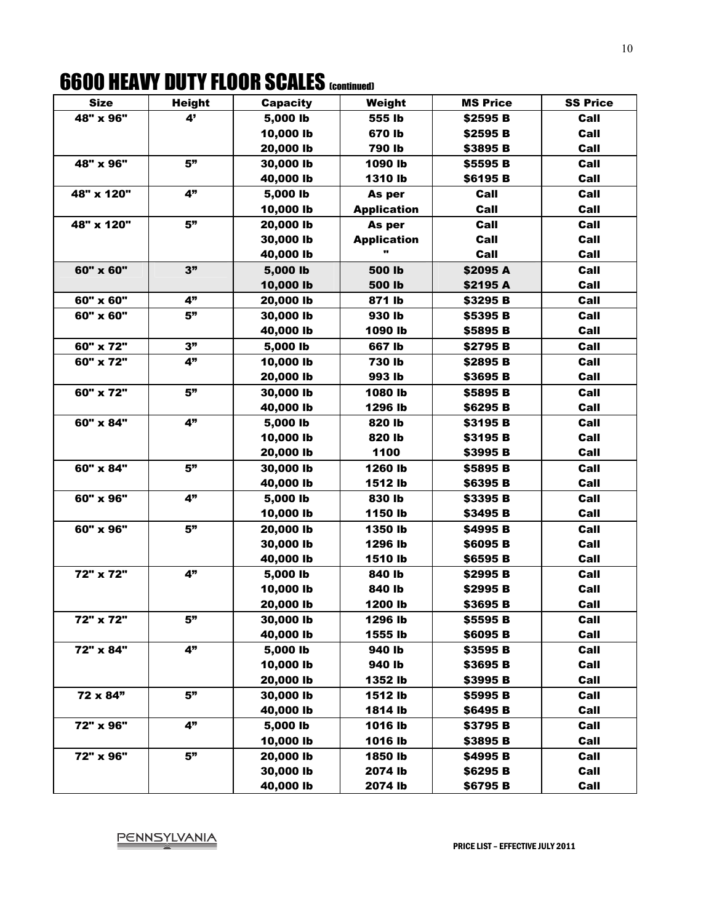# **6600 HEAVY DUTY FLOOR SCALES (continued)**

| <b>Size</b> | <b>Height</b> | <b>Capacity</b> | Weight             | <b>MS Price</b> | <b>SS Price</b> |
|-------------|---------------|-----------------|--------------------|-----------------|-----------------|
| 48" x 96"   | 4'            | 5,000 lb        | 555 lb             | \$2595 B        | Call            |
|             |               | 10,000 lb       | 670 lb             | \$2595 B        | Call            |
|             |               | 20,000 lb       | 790 lb             | \$3895 B        | Call            |
| 48" x 96"   | 5"            | 30,000 lb       | 1090 lb            | \$5595 B        | Call            |
|             |               | 40,000 lb       | 1310 lb            | \$6195 B        | Call            |
| 48" x 120"  | 4"            | 5,000 lb        | As per             | Call            | Call            |
|             |               | 10,000 lb       | <b>Application</b> | Call            | Call            |
| 48" x 120"  | 5"            | 20,000 lb       | As per             | Call            | Call            |
|             |               | 30,000 lb       | <b>Application</b> | Call            | Call            |
|             |               | 40,000 lb       |                    | Call            | Call            |
| 60" x 60"   | 3"            | 5,000 lb        | 500 lb             | \$2095 A        | Call            |
|             |               | 10,000 lb       | 500 lb             | \$2195 A        | Call            |
| 60" x 60"   | 4"            | 20,000 lb       | 871 lb             | \$3295 B        | Call            |
| 60" x 60"   | 5"            | 30,000 lb       | 930 lb             | \$5395 B        | Call            |
|             |               | 40,000 lb       | 1090 lb            | \$5895 B        | Call            |
| 60" x 72"   | 3"            | 5,000 lb        | 667 lb             | \$2795 B        | Call            |
| 60" x 72"   | 4"            | 10,000 lb       | 730 lb             | \$2895 B        | Call            |
|             |               | 20,000 lb       | 993 lb             | \$3695 B        | Call            |
| 60" x 72"   | 5"            | 30,000 lb       | 1080 lb            | \$5895 B        | Call            |
|             |               | 40,000 lb       | 1296 lb            | \$6295 B        | Call            |
| 60" x 84"   | 4"            | 5,000 lb        | 820 lb             | \$3195 B        | Call            |
|             |               | 10,000 lb       | 820 lb             | \$3195 B        | Call            |
|             |               | 20,000 lb       | 1100               | \$3995 B        | Call            |
| 60" x 84"   | 5"            | 30,000 lb       | 1260 lb            | \$5895 B        | Call            |
|             |               | 40,000 lb       | 1512 lb            | \$6395 B        | Call            |
| 60" x 96"   | 4"            | 5,000 lb        | 830 lb             | \$3395 B        | Call            |
|             |               | 10,000 lb       | 1150 lb            | \$3495 B        | Call            |
| 60" x 96"   | 5"            | 20,000 lb       | 1350 lb            | \$4995 B        | Call            |
|             |               | 30,000 lb       | 1296 lb            | \$6095 B        | Call            |
|             |               | 40,000 lb       | 1510 lb            | \$6595 B        | Call            |
| 72" x 72"   | 4"            | 5,000 lb        | 840 lb             | \$2995 B        | Call            |
|             |               | 10,000 lb       | 840 lb             | \$2995 B        | Call            |
|             |               | 20,000 lb       | 1200 lb            | \$3695 B        | Call            |
| 72" x 72"   | 5"            | 30,000 lb       | 1296 lb            | \$5595 B        | Call            |
|             |               | 40,000 lb       | 1555 lb            | \$6095 B        | Call            |
| 72" x 84"   | 4"            | 5,000 lb        | 940 lb             | \$3595 B        | Call            |
|             |               | 10,000 lb       | 940 lb             | \$3695 B        | Call            |
|             |               | 20,000 lb       | 1352 lb            | \$3995 B        | Call            |
| 72 x 84"    | 5"            | 30,000 lb       | 1512 lb            | \$5995 B        | Call            |
|             |               | 40,000 lb       | 1814 lb            | \$6495 B        | Call            |
| 72" x 96"   | 4"            | 5,000 lb        | 1016 lb            | \$3795 B        | Call            |
|             |               | 10,000 lb       | 1016 lb            | \$3895 B        | Call            |
| 72" x 96"   | 5"            | 20,000 lb       | 1850 lb            | \$4995 B        | Call            |
|             |               | 30,000 lb       | 2074 lb            | \$6295 B        | Call            |
|             |               | 40,000 lb       | 2074 lb            | \$6795 B        | Call            |

# PENNSYLVANIA<br>PRICE LIST – EFFECTIVE JULY 2011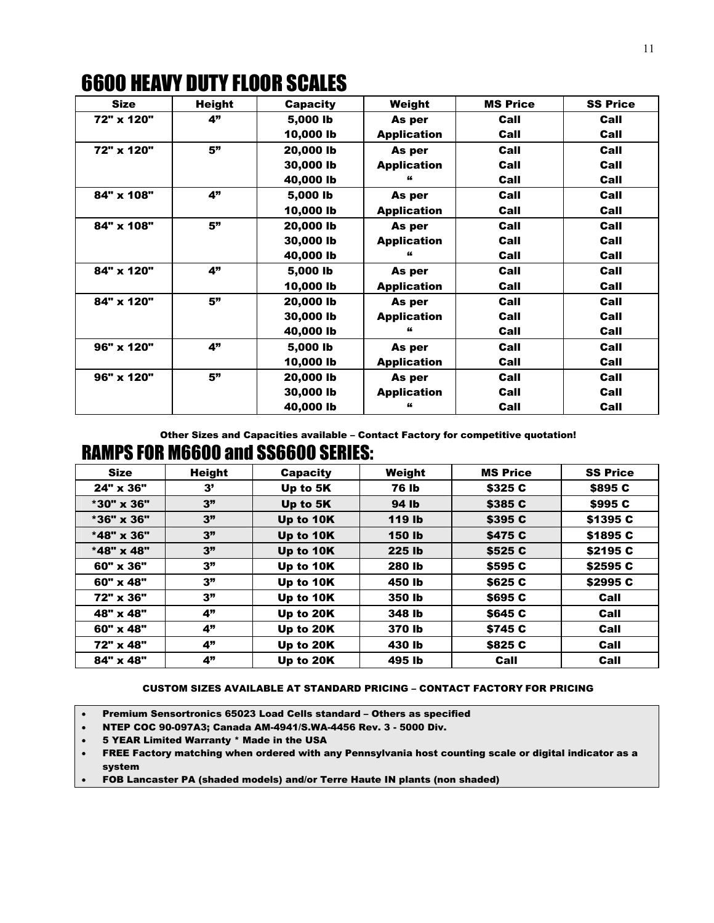| <b>Size</b> | <b>Height</b> | <b>Capacity</b> | Weight             | <b>MS Price</b> | <b>SS Price</b> |
|-------------|---------------|-----------------|--------------------|-----------------|-----------------|
| 72" x 120"  | 4"            | 5,000 lb        | As per             | Call            | Call            |
|             |               | 10,000 lb       | <b>Application</b> | Call            | Call            |
| 72" x 120"  | 5"            | 20,000 lb       | As per             | Call            | Call            |
|             |               | 30,000 lb       | <b>Application</b> | Call            | Call            |
|             |               | 40,000 lb       |                    | Call            | Call            |
| 84" x 108"  | 4"            | 5,000 lb        | As per             | Call            | Call            |
|             |               | 10,000 lb       | <b>Application</b> | Call            | Call            |
| 84" x 108"  | 5"            | 20,000 lb       | As per             | Call            | Call            |
|             |               | 30,000 lb       | <b>Application</b> | Call            | Call            |
|             |               | 40,000 lb       |                    | Call            | Call            |
| 84" x 120"  | 4"            | 5,000 lb        | As per             | Call            | Call            |
|             |               | 10,000 lb       | <b>Application</b> | Call            | Call            |
| 84" x 120"  | 5"            | 20,000 lb       | As per             | Call            | Call            |
|             |               | 30,000 lb       | <b>Application</b> | Call            | Call            |
|             |               | 40,000 lb       | "                  | Call            | Call            |
| 96" x 120"  | 4"            | 5,000 lb        | As per             | Call            | Call            |
|             |               | 10,000 lb       | <b>Application</b> | Call            | Call            |
| 96" x 120"  | 5"            | 20,000 lb       | As per             | Call            | Call            |
|             |               | 30,000 lb       | <b>Application</b> | Call            | Call            |
|             |               | 40,000 lb       |                    | Call            | Call            |

Other Sizes and Capacities available – Contact Factory for competitive quotation!

# RAMPS FOR M6600 and SS6600 SERIES:

| <b>Size</b>      | <b>Height</b> | <b>Capacity</b> | Weight        | <b>MS Price</b> | <b>SS Price</b> |
|------------------|---------------|-----------------|---------------|-----------------|-----------------|
| 24" x 36"        | 3'            | Up to 5K        | <b>76 lb</b>  | \$325 C         | \$895 C         |
| *30" x 36"       | 3"            | Up to 5K        | 94 lb         | \$385 C         | \$995 C         |
| *36" x 36"       | 3"            | Up to 10K       | 119 lb        | \$395 C         | \$1395 C        |
| *48" x 36"       | 3"            | Up to 10K       | <b>150 lb</b> | \$475 C         | \$1895 C        |
| *48" x 48"       | 3"            | Up to 10K       | 225 lb        | \$525 C         | \$2195 C        |
| 60" x 36"        | 3"            | Up to 10K       | 280 lb        | \$595 C         | \$2595 C        |
| $60" \times 48"$ | 3"            | Up to 10K       | 450 lb        | \$625 C         | \$2995 C        |
| 72" x 36"        | 3"            | Up to 10K       | 350 lb        | \$695 C         | Call            |
| 48" x 48"        | 4"            | Up to 20K       | 348 lb        | \$645 C         | Call            |
| $60" \times 48"$ | 4"            | Up to 20K       | 370 lb        | \$745 C         | Call            |
| 72" x 48"        | 4"            | Up to 20K       | 430 lb        | \$825 C         | Call            |
| 84" x 48"        | 4"            | Up to 20K       | 495 lb        | Call            | Call            |

#### CUSTOM SIZES AVAILABLE AT STANDARD PRICING – CONTACT FACTORY FOR PRICING

• Premium Sensortronics 65023 Load Cells standard – Others as specified

• NTEP COC 90-097A3; Canada AM-4941/S.WA-4456 Rev. 3 - 5000 Div.

- 5 YEAR Limited Warranty \* Made in the USA
- FREE Factory matching when ordered with any Pennsylvania host counting scale or digital indicator as a system
- FOB Lancaster PA (shaded models) and/or Terre Haute IN plants (non shaded)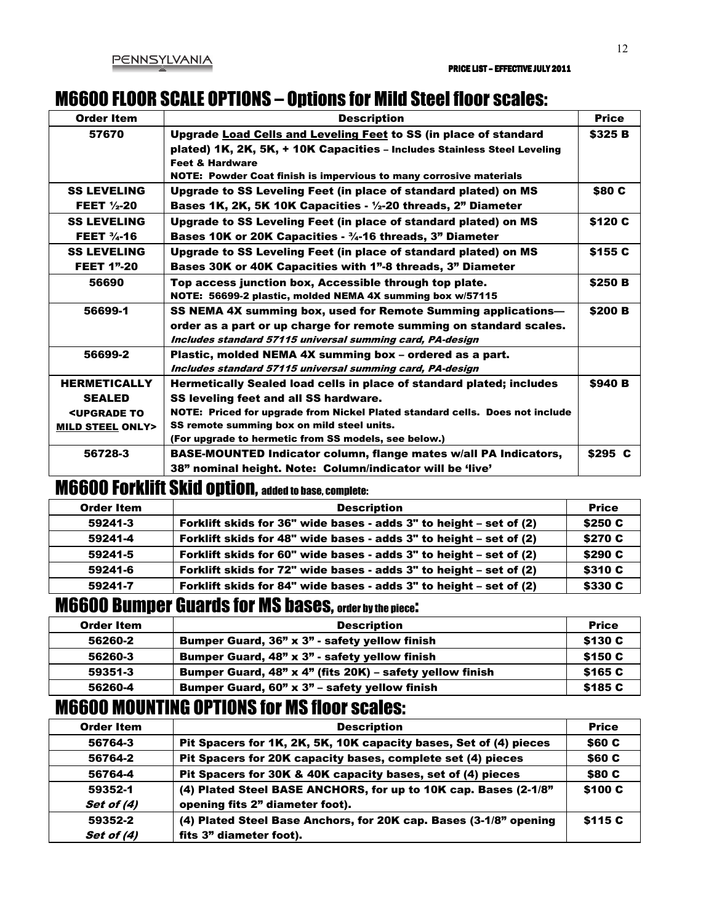## M6600 FLOOR SCALE OPTIONS – Options for Mild Steel floor scales:

| Order Item                              | <b>Description</b>                                                           | <b>Price</b>   |
|-----------------------------------------|------------------------------------------------------------------------------|----------------|
| 57670                                   | Upgrade Load Cells and Leveling Feet to SS (in place of standard             | <b>\$325 B</b> |
|                                         | plated) 1K, 2K, 5K, + 10K Capacities - Includes Stainless Steel Leveling     |                |
|                                         | <b>Feet &amp; Hardware</b>                                                   |                |
|                                         | NOTE: Powder Coat finish is impervious to many corrosive materials           |                |
| <b>SS LEVELING</b>                      | Upgrade to SS Leveling Feet (in place of standard plated) on MS              | \$80 C         |
| <b>FEET</b> $\frac{1}{2}$ -20           | Bases 1K, 2K, 5K 10K Capacities - $\frac{1}{2}$ -20 threads, 2" Diameter     |                |
| <b>SS LEVELING</b>                      | Upgrade to SS Leveling Feet (in place of standard plated) on MS              | \$120 C        |
| <b>FEET <math>\frac{3}{4}</math>-16</b> | Bases 10K or 20K Capacities - 3/4-16 threads, 3" Diameter                    |                |
| <b>SS LEVELING</b>                      | Upgrade to SS Leveling Feet (in place of standard plated) on MS              | \$155 C        |
| <b>FEET 1"-20</b>                       | <b>Bases 30K or 40K Capacities with 1"-8 threads, 3" Diameter</b>            |                |
| 56690                                   | Top access junction box, Accessible through top plate.                       | \$250 B        |
|                                         | NOTE: 56699-2 plastic, molded NEMA 4X summing box w/57115                    |                |
| 56699-1                                 | SS NEMA 4X summing box, used for Remote Summing applications—                | \$200 B        |
|                                         | order as a part or up charge for remote summing on standard scales.          |                |
|                                         | Includes standard 57115 universal summing card, PA-design                    |                |
| 56699-2                                 | Plastic, molded NEMA 4X summing box - ordered as a part.                     |                |
|                                         | Includes standard 57115 universal summing card, PA-design                    |                |
| <b>HERMETICALLY</b>                     | Hermetically Sealed load cells in place of standard plated; includes         | <b>\$940 B</b> |
| <b>SEALED</b>                           | SS leveling feet and all SS hardware.                                        |                |
| <b><upgrade b="" to<=""></upgrade></b>  | NOTE: Priced for upgrade from Nickel Plated standard cells. Does not include |                |
| <b>MILD STEEL ONLY&gt;</b>              | SS remote summing box on mild steel units.                                   |                |
|                                         | (For upgrade to hermetic from SS models, see below.)                         |                |
| 56728-3                                 | BASE-MOUNTED Indicator column, flange mates w/all PA Indicators,             | \$295 C        |
|                                         | 38" nominal height. Note: Column/indicator will be 'live'                    |                |

# M6600 Forklift Skid option, added to base, complete:

| <b>Order Item</b> | <b>Description</b>                                                 | <b>Price</b> |
|-------------------|--------------------------------------------------------------------|--------------|
| 59241-3           | Forklift skids for 36" wide bases - adds 3" to height - set of (2) | \$250 C      |
| 59241-4           | Forklift skids for 48" wide bases - adds 3" to height - set of (2) | \$270 C      |
| 59241-5           | Forklift skids for 60" wide bases - adds 3" to height – set of (2) | \$290 C      |
| 59241-6           | Forklift skids for 72" wide bases - adds 3" to height - set of (2) | \$310 C      |
| 59241-7           | Forklift skids for 84" wide bases - adds 3" to height – set of (2) | \$330 C      |

#### M6600 Bumper Guards for MS bases, order by the piece:

| Order Item | <b>Description</b>                                       | <b>Price</b> |
|------------|----------------------------------------------------------|--------------|
| 56260-2    | Bumper Guard, 36" x 3" - safety yellow finish            | \$130 C      |
| 56260-3    | Bumper Guard, 48" x 3" - safety yellow finish            | \$150 C      |
| 59351-3    | Bumper Guard, 48" x 4" (fits 20K) - safety yellow finish | \$165 C      |
| 56260-4    | Bumper Guard, $60" \times 3"$ – safety yellow finish     | \$185 C      |

#### M6600 MOUNTING OPTIONS for MS floor scales:

| <b>Order Item</b> | <b>Description</b>                                                | <b>Price</b> |
|-------------------|-------------------------------------------------------------------|--------------|
| 56764-3           | Pit Spacers for 1K, 2K, 5K, 10K capacity bases, Set of (4) pieces | \$60 C       |
| 56764-2           | Pit Spacers for 20K capacity bases, complete set (4) pieces       | \$60 C       |
| 56764-4           | Pit Spacers for 30K & 40K capacity bases, set of (4) pieces       | \$80 C       |
| 59352-1           | (4) Plated Steel BASE ANCHORS, for up to 10K cap. Bases (2-1/8"   | \$100 C      |
| Set of (4)        | opening fits 2" diameter foot).                                   |              |
| 59352-2           | (4) Plated Steel Base Anchors, for 20K cap. Bases (3-1/8" opening | \$115 C      |
| Set of (4)        | fits 3" diameter foot).                                           |              |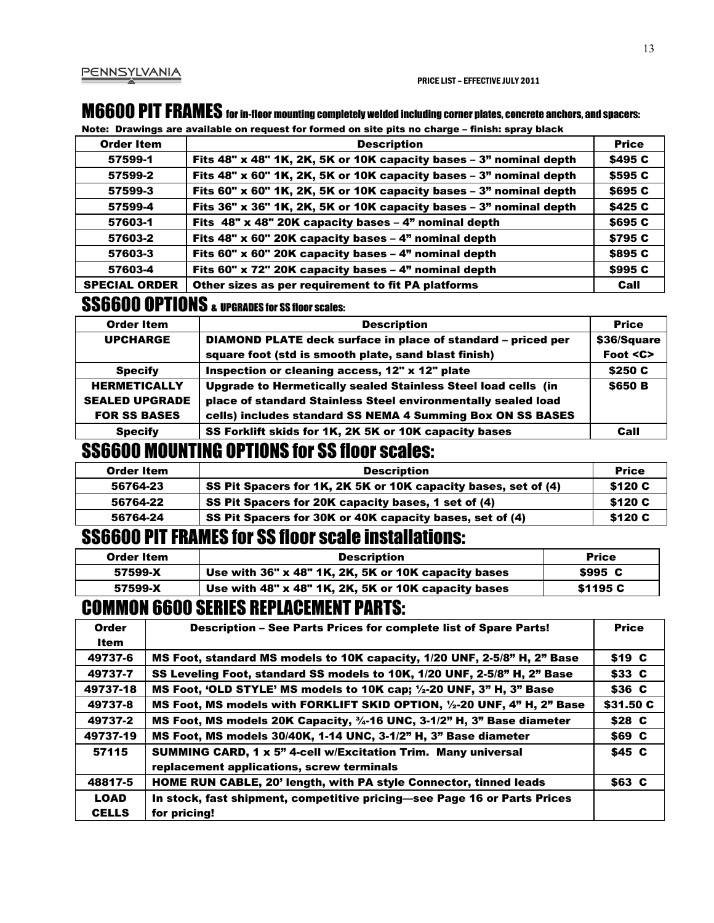## M6600 PIT FRAMES for in-floor mounting completely welded including corner plates, concrete anchors, and spacers:

Note: Drawings are available on request for formed on site pits no charge – finish: spray black

| <b>Order Item</b>    | <b>Description</b>                                                      | <b>Price</b> |
|----------------------|-------------------------------------------------------------------------|--------------|
| 57599-1              | Fits $48"$ x $48"$ 1K, 2K, 5K or 10K capacity bases $-3"$ nominal depth | \$495 C      |
| 57599-2              | Fits 48" x 60" 1K, 2K, 5K or 10K capacity bases - 3" nominal depth      | \$595 C      |
| 57599-3              | Fits 60" x 60" 1K, 2K, 5K or 10K capacity bases $-3$ " nominal depth    | \$695 C      |
| 57599-4              | Fits $36"$ x $36"$ 1K, 2K, 5K or 10K capacity bases $-3"$ nominal depth | \$425 C      |
| 57603-1              | Fits 48" x 48" 20K capacity bases - 4" nominal depth                    | \$695 C      |
| 57603-2              | Fits 48" x 60" 20K capacity bases $-$ 4" nominal depth                  | \$795 C      |
| 57603-3              | Fits 60" x 60" 20K capacity bases - 4" nominal depth                    | \$895 C      |
| 57603-4              | Fits 60" x 72" 20K capacity bases - 4" nominal depth                    | \$995 C      |
| <b>SPECIAL ORDER</b> | Other sizes as per requirement to fit PA platforms                      | Call         |

## **SS6600 OPTIONS** & UPGRADES for SS floor scales:

| <b>Order Item</b>     | <b>Description</b>                                            | <b>Price</b> |
|-----------------------|---------------------------------------------------------------|--------------|
| <b>UPCHARGE</b>       | DIAMOND PLATE deck surface in place of standard - priced per  | \$36/Square  |
|                       | square foot (std is smooth plate, sand blast finish)          | Foot <c></c> |
| <b>Specify</b>        | Inspection or cleaning access, 12" x 12" plate                | \$250 C      |
| <b>HERMETICALLY</b>   | Upgrade to Hermetically sealed Stainless Steel load cells (in | \$650 B      |
| <b>SEALED UPGRADE</b> | place of standard Stainless Steel environmentally sealed load |              |
| <b>FOR SS BASES</b>   | cells) includes standard SS NEMA 4 Summing Box ON SS BASES    |              |
| <b>Specify</b>        | SS Forklift skids for 1K, 2K 5K or 10K capacity bases         | Call         |

#### SS6600 MOUNTING OPTIONS for SS floor scales:

| Order Item | <b>Description</b>                                             | <b>Price</b> |
|------------|----------------------------------------------------------------|--------------|
| 56764-23   | SS Pit Spacers for 1K, 2K 5K or 10K capacity bases, set of (4) | \$120 C      |
| 56764-22   | SS Pit Spacers for 20K capacity bases, 1 set of (4)            | \$120 C      |
| 56764-24   | SS Pit Spacers for 30K or 40K capacity bases, set of (4)       | \$120 C      |

#### SS6600 PIT FRAMES for SS floor scale installations:

| Order Item | <b>Description</b>                                  | <b>Price</b>   |
|------------|-----------------------------------------------------|----------------|
| 57599-X    | Use with 36" x 48" 1K, 2K, 5K or 10K capacity bases | \$995 C        |
| 57599-X    | Use with 48" x 48" 1K, 2K, 5K or 10K capacity bases | <b>S1195 C</b> |

### COMMON 6600 SERIES REPLACEMENT PARTS:

| <b>Order</b> | Description - See Parts Prices for complete list of Spare Parts!         | <b>Price</b> |
|--------------|--------------------------------------------------------------------------|--------------|
| Item         |                                                                          |              |
| 49737-6      | MS Foot, standard MS models to 10K capacity, 1/20 UNF, 2-5/8" H, 2" Base | \$19 C       |
| 49737-7      | SS Leveling Foot, standard SS models to 10K, 1/20 UNF, 2-5/8" H, 2" Base | \$33 C       |
| 49737-18     | MS Foot, 'OLD STYLE' MS models to 10K cap; 1/2-20 UNF, 3" H, 3" Base     | \$36 C       |
| 49737-8      | MS Foot, MS models with FORKLIFT SKID OPTION, 1/2-20 UNF, 4" H, 2" Base  | \$31.50 C    |
| 49737-2      | MS Foot, MS models 20K Capacity, 34-16 UNC, 3-1/2" H, 3" Base diameter   | \$28 C       |
| 49737-19     | MS Foot, MS models 30/40K, 1-14 UNC, 3-1/2" H, 3" Base diameter          | \$69 C       |
| 57115        | <b>SUMMING CARD, 1 x 5" 4-cell w/Excitation Trim. Many universal</b>     | \$45 C       |
|              | replacement applications, screw terminals                                |              |
| 48817-5      | HOME RUN CABLE, 20' length, with PA style Connector, tinned leads        | \$63 C       |
| LOAD         | In stock, fast shipment, competitive pricing—see Page 16 or Parts Prices |              |
| <b>CELLS</b> | for pricing!                                                             |              |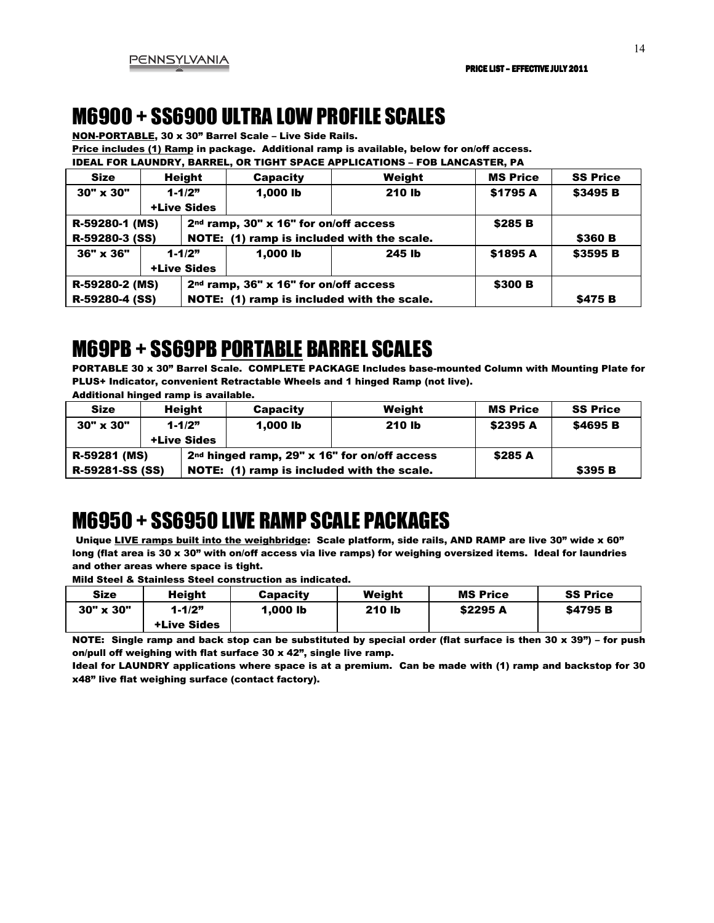# M6900 + SS6900 ULTRA LOW PROFILE SCALES

NON-PORTABLE, 30 x 30" Barrel Scale – Live Side Rails.

Price includes (1) Ramp in package. Additional ramp is available, below for on/off access.

IDEAL FOR LAUNDRY, BARREL, OR TIGHT SPACE APPLICATIONS – FOB LANCASTER, PA

| <b>Size</b>             |                    | <b>Height</b> | <b>Capacity</b>                                   | Weight   | <b>MS Price</b> | <b>SS Price</b> |
|-------------------------|--------------------|---------------|---------------------------------------------------|----------|-----------------|-----------------|
| $30" \times 30"$        | $1 - 1/2"$         |               | 1.000 lb                                          | 210 lb   | \$1795 A        | \$3495 B        |
|                         | <b>+Live Sides</b> |               |                                                   |          |                 |                 |
| R-59280-1 (MS)          |                    |               | 2 <sup>nd</sup> ramp, 30" x 16" for on/off access |          | \$285 B         |                 |
| R-59280-3 (SS)          |                    |               | NOTE: (1) ramp is included with the scale.        |          |                 | \$360 B         |
| 36" x 36"<br>$1 - 1/2"$ |                    | $1.000$ lb    | 245 lb                                            | \$1895 A | \$3595 B        |                 |
| <b>+Live Sides</b>      |                    |               |                                                   |          |                 |                 |
| R-59280-2 (MS)          |                    |               | 2 <sup>nd</sup> ramp, 36" x 16" for on/off access |          | \$300 B         |                 |
| R-59280-4 (SS)          |                    |               | NOTE: (1) ramp is included with the scale.        |          |                 | \$475 B         |

# M69PB + SS69PB PORTABLE BARREL SCALES

PORTABLE 30 x 30" Barrel Scale. COMPLETE PACKAGE Includes base-mounted Column with Mounting Plate for PLUS+ Indicator, convenient Retractable Wheels and 1 hinged Ramp (not live). Additional hinged ramp is available.

| <b>Size</b>     |                                  | <b>Height</b>                              | <b>Capacity</b>                                          | Weight  | <b>MS Price</b> | <b>SS Price</b> |
|-----------------|----------------------------------|--------------------------------------------|----------------------------------------------------------|---------|-----------------|-----------------|
| 30" x 30"       | $1 - 1/2"$<br><b>+Live Sides</b> |                                            | $1.000$ lb                                               | 210 lb  | <b>\$2395 A</b> | \$4695 B        |
| R-59281 (MS)    |                                  |                                            | 2 <sup>nd</sup> hinged ramp, 29" x 16" for on/off access | \$285 A |                 |                 |
| R-59281-SS (SS) |                                  | NOTE: (1) ramp is included with the scale. |                                                          |         | <b>\$395 B</b>  |                 |

# M6950 + SS6950 LIVE RAMP SCALE PACKAGES

Unique LIVE ramps built into the weighbridge: Scale platform, side rails, AND RAMP are live 30" wide x 60" long (flat area is 30 x 30" with on/off access via live ramps) for weighing oversized items. Ideal for laundries and other areas where space is tight.

Mild Steel & Stainless Steel construction as indicated.

| <b>Size</b>      | <b>Height</b>      | <b>Capacity</b> | Weiaht        | <b>MS Price</b> | <b>SS Price</b> |
|------------------|--------------------|-----------------|---------------|-----------------|-----------------|
| $30" \times 30"$ | $1 - 1/2"$         | 1.000 lb        | <b>210 lb</b> | \$2295 A        | \$4795 B        |
|                  | <b>+Live Sides</b> |                 |               |                 |                 |

NOTE: Single ramp and back stop can be substituted by special order (flat surface is then 30 x 39") – for push on/pull off weighing with flat surface 30 x 42", single live ramp.

Ideal for LAUNDRY applications where space is at a premium. Can be made with (1) ramp and backstop for 30 x48" live flat weighing surface (contact factory).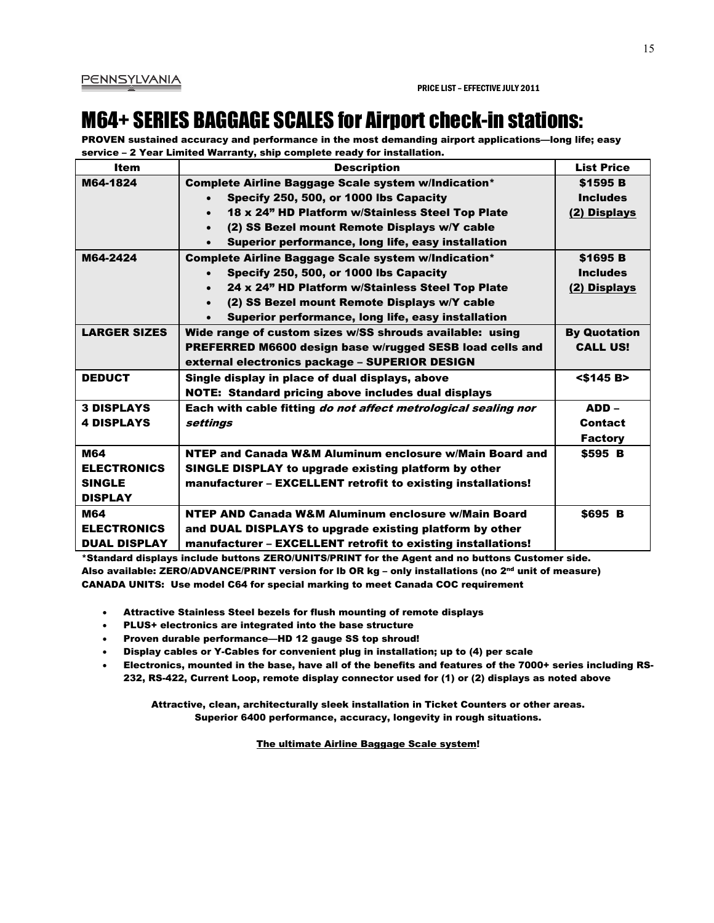# M64+ SERIES BAGGAGE SCALES for Airport check-in stations:

PROVEN sustained accuracy and performance in the most demanding airport applications—long life; easy service – 2 Year Limited Warranty, ship complete ready for installation.

| <b>Item</b>         | <b>Description</b>                                                    | <b>List Price</b>   |
|---------------------|-----------------------------------------------------------------------|---------------------|
| M64-1824            | Complete Airline Baggage Scale system w/Indication*                   | \$1595 B            |
|                     | Specify 250, 500, or 1000 lbs Capacity                                | <b>Includes</b>     |
|                     | 18 x 24" HD Platform w/Stainless Steel Top Plate<br>$\bullet$         | (2) Displays        |
|                     | (2) SS Bezel mount Remote Displays w/Y cable<br>$\bullet$             |                     |
|                     | Superior performance, long life, easy installation                    |                     |
| M64-2424            | Complete Airline Baggage Scale system w/Indication*                   | \$1695 B            |
|                     | Specify 250, 500, or 1000 lbs Capacity<br>$\bullet$                   | <b>Includes</b>     |
|                     | 24 x 24" HD Platform w/Stainless Steel Top Plate<br>$\bullet$         | (2) Displays        |
|                     | (2) SS Bezel mount Remote Displays w/Y cable<br>$\bullet$             |                     |
|                     | Superior performance, long life, easy installation                    |                     |
| <b>LARGER SIZES</b> | Wide range of custom sizes w/SS shrouds available: using              | <b>By Quotation</b> |
|                     | PREFERRED M6600 design base w/rugged SESB load cells and              | <b>CALL US!</b>     |
|                     | external electronics package - SUPERIOR DESIGN                        |                     |
| <b>DEDUCT</b>       | Single display in place of dual displays, above                       | $<$ \$145 B>        |
|                     | <b>NOTE: Standard pricing above includes dual displays</b>            |                     |
| <b>3 DISPLAYS</b>   | Each with cable fitting <i>do not affect metrological sealing nor</i> | ADD –               |
| <b>4 DISPLAYS</b>   | settings                                                              | Contact             |
|                     |                                                                       | <b>Factory</b>      |
| M64                 | NTEP and Canada W&M Aluminum enclosure w/Main Board and               | \$595 B             |
| <b>ELECTRONICS</b>  | SINGLE DISPLAY to upgrade existing platform by other                  |                     |
| <b>SINGLE</b>       | manufacturer – EXCELLENT retrofit to existing installations!          |                     |
| <b>DISPLAY</b>      |                                                                       |                     |
| <b>M64</b>          | NTEP AND Canada W&M Aluminum enclosure w/Main Board                   | \$695 B             |
| <b>ELECTRONICS</b>  | and DUAL DISPLAYS to upgrade existing platform by other               |                     |
| <b>DUAL DISPLAY</b> | manufacturer – EXCELLENT retrofit to existing installations!          |                     |

\*Standard displays include buttons ZERO/UNITS/PRINT for the Agent and no buttons Customer side. Also available: ZERO/ADVANCE/PRINT version for lb OR kg – only installations (no 2nd unit of measure) CANADA UNITS: Use model C64 for special marking to meet Canada COC requirement

- Attractive Stainless Steel bezels for flush mounting of remote displays
- PLUS+ electronics are integrated into the base structure
- Proven durable performance—HD 12 gauge SS top shroud!
- Display cables or Y-Cables for convenient plug in installation; up to (4) per scale
- Electronics, mounted in the base, have all of the benefits and features of the 7000+ series including RS-232, RS-422, Current Loop, remote display connector used for (1) or (2) displays as noted above

Attractive, clean, architecturally sleek installation in Ticket Counters or other areas. Superior 6400 performance, accuracy, longevity in rough situations.

The ultimate Airline Baggage Scale system!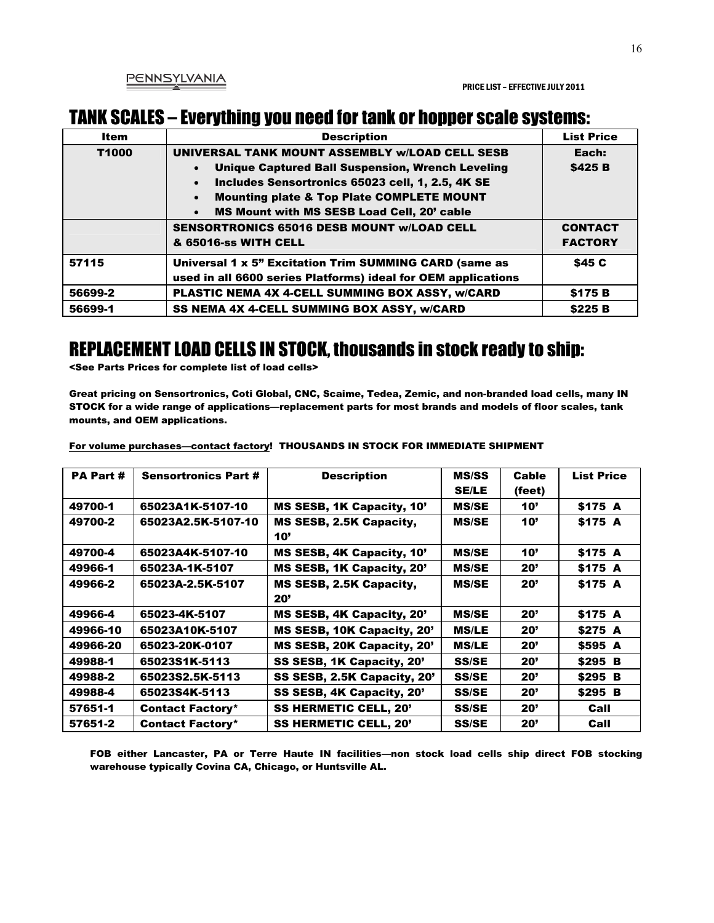#### TANK SCALES – Everything you need for tank or hopper scale systems:

| <b>Item</b> | <b>Description</b>                                                | <b>List Price</b> |
|-------------|-------------------------------------------------------------------|-------------------|
| T1000       | UNIVERSAL TANK MOUNT ASSEMBLY w/LOAD CELL SESB                    | Each:             |
|             | <b>Unique Captured Ball Suspension, Wrench Leveling</b>           | \$425 B           |
|             | Includes Sensortronics 65023 cell, 1, 2.5, 4K SE<br>$\bullet$     |                   |
|             | <b>Mounting plate &amp; Top Plate COMPLETE MOUNT</b><br>$\bullet$ |                   |
|             | <b>MS Mount with MS SESB Load Cell, 20' cable</b><br>$\bullet$    |                   |
|             | <b>SENSORTRONICS 65016 DESB MOUNT W/LOAD CELL</b>                 | <b>CONTACT</b>    |
|             | & 65016-ss WITH CELL                                              | <b>FACTORY</b>    |
| 57115       | Universal 1 x 5" Excitation Trim SUMMING CARD (same as            | \$45 C            |
|             | used in all 6600 series Platforms) ideal for OEM applications     |                   |
| 56699-2     | PLASTIC NEMA 4X 4-CELL SUMMING BOX ASSY, w/CARD                   | \$175 B           |
| 56699-1     | SS NEMA 4X 4-CELL SUMMING BOX ASSY, w/CARD                        | \$225 B           |

#### REPLACEMENT LOAD CELLS IN STOCK, thousands in stock ready to ship:

<See Parts Prices for complete list of load cells>

Great pricing on Sensortronics, Coti Global, CNC, Scaime, Tedea, Zemic, and non-branded load cells, many IN STOCK for a wide range of applications—replacement parts for most brands and models of floor scales, tank mounts, and OEM applications.

| <b>PA Part #</b> | <b>Sensortronics Part #</b> | <b>Description</b>             | <b>MS/SS</b><br><b>SE/LE</b> | Cable<br>(feet) | <b>List Price</b> |
|------------------|-----------------------------|--------------------------------|------------------------------|-----------------|-------------------|
| 49700-1          | 65023A1K-5107-10            | MS SESB, 1K Capacity, 10'      | <b>MS/SE</b>                 | 10'             | \$175 A           |
| 49700-2          | 65023A2.5K-5107-10          | MS SESB, 2.5K Capacity,<br>10' | <b>MS/SE</b>                 | 10'             | \$175 A           |
| 49700-4          | 65023A4K-5107-10            | MS SESB, 4K Capacity, 10'      | <b>MS/SE</b>                 | 10'             | \$175 A           |
| 49966-1          | 65023A-1K-5107              | MS SESB, 1K Capacity, 20'      | <b>MS/SE</b>                 | 20'             | \$175 A           |
| 49966-2          | 65023A-2.5K-5107            | MS SESB, 2.5K Capacity,<br>20' | <b>MS/SE</b>                 | <b>20'</b>      | \$175 A           |
| 49966-4          | 65023-4K-5107               | MS SESB, 4K Capacity, 20'      | <b>MS/SE</b>                 | 20'             | \$175 A           |
| 49966-10         | 65023A10K-5107              | MS SESB, 10K Capacity, 20'     | <b>MS/LE</b>                 | 20'             | \$275 A           |
| 49966-20         | 65023-20K-0107              | MS SESB, 20K Capacity, 20'     | <b>MS/LE</b>                 | 20'             | \$595 A           |
| 49988-1          | 65023S1K-5113               | SS SESB, 1K Capacity, 20'      | <b>SS/SE</b>                 | 20'             | \$295 B           |
| 49988-2          | 65023S2.5K-5113             | SS SESB, 2.5K Capacity, 20'    | <b>SS/SE</b>                 | 20'             | \$295 B           |
| 49988-4          | 65023S4K-5113               | SS SESB, 4K Capacity, 20'      | <b>SS/SE</b>                 | 20'             | \$295 B           |
| 57651-1          | <b>Contact Factory*</b>     | <b>SS HERMETIC CELL, 20'</b>   | <b>SS/SE</b>                 | 20'             | Call              |
| 57651-2          | <b>Contact Factory*</b>     | <b>SS HERMETIC CELL, 20'</b>   | <b>SS/SE</b>                 | 20'             | Call              |

For volume purchases—contact factory! THOUSANDS IN STOCK FOR IMMEDIATE SHIPMENT

FOB either Lancaster, PA or Terre Haute IN facilities—non stock load cells ship direct FOB stocking warehouse typically Covina CA, Chicago, or Huntsville AL.